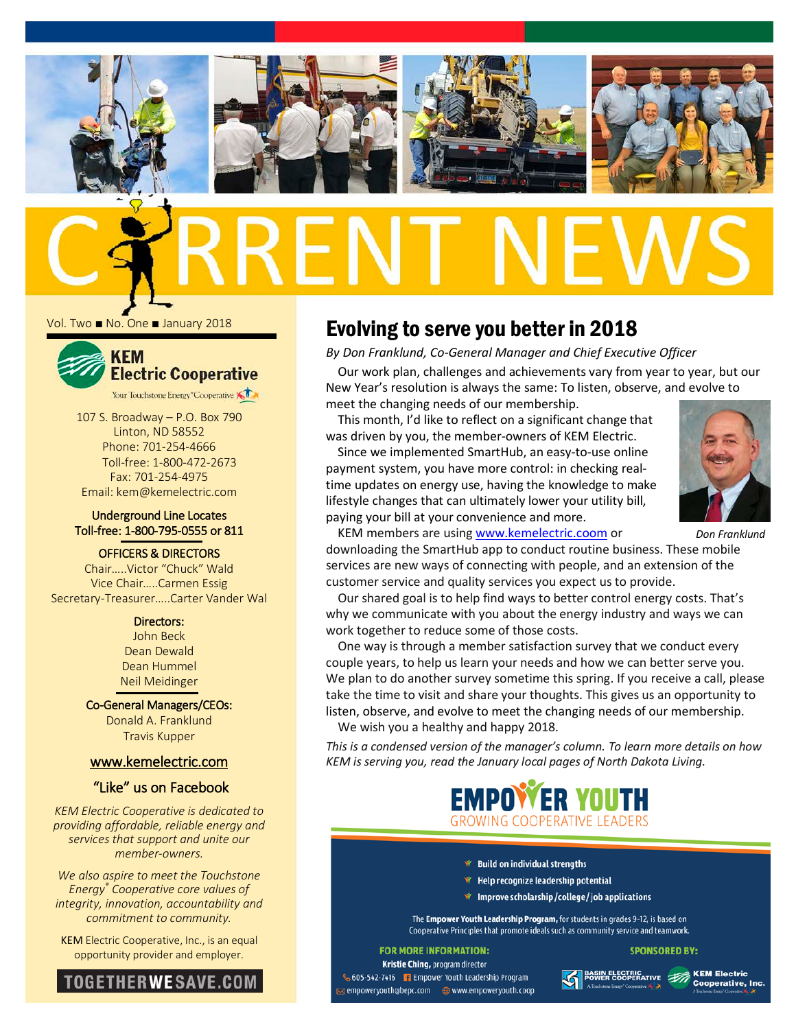

Vol. Two ■ No. One ■ January 2018



107 S. Broadway – P.O. Box 790 Linton, ND 58552 Phone: 701-254-4666 Toll-free: 1-800-472-2673 Fax: 701-254-4975 Email: kem@kemelectric.com

#### Underground Line Locates Toll-free: 1-800-795-0555 or 811

OFFICERS & DIRECTORS

Chair…..Victor "Chuck" Wald Vice Chair…..Carmen Essig Secretary-Treasurer…..Carter Vander Wal

> Directors: John Beck Dean Dewald Dean Hummel Neil Meidinger

Co-General Managers/CEOs: Donald A. Franklund Travis Kupper

#### [www.kemelectric.com](http://www.kemelectric.com/)

### "Like" us on Facebook

*KEM Electric Cooperative is dedicated to providing affordable, reliable energy and services that support and unite our member-owners.*

*We also aspire to meet the Touchstone Energy® Cooperative core values of integrity, innovation, accountability and commitment to community.*

KEM Electric Cooperative, Inc., is an equal opportunity provider and employer.



## Evolving to serve you better in 2018

*By Don Franklund, Co-General Manager and Chief Executive Officer*

Our work plan, challenges and achievements vary from year to year, but our New Year's resolution is always the same: To listen, observe, and evolve to meet the changing needs of our membership.

This month, I'd like to reflect on a significant change that was driven by you, the member-owners of KEM Electric.

Since we implemented SmartHub, an easy-to-use online payment system, you have more control: in checking realtime updates on energy use, having the knowledge to make lifestyle changes that can ultimately lower your utility bill, paying your bill at your convenience and more.



KEM members are usin[g www.kemelectric.coom](http://www.kemelectric.coom/) or

downloading the SmartHub app to conduct routine business. These mobile services are new ways of connecting with people, and an extension of the customer service and quality services you expect us to provide. *Don Franklund*

Our shared goal is to help find ways to better control energy costs. That's why we communicate with you about the energy industry and ways we can work together to reduce some of those costs.

One way is through a member satisfaction survey that we conduct every couple years, to help us learn your needs and how we can better serve you. We plan to do another survey sometime this spring. If you receive a call, please take the time to visit and share your thoughts. This gives us an opportunity to listen, observe, and evolve to meet the changing needs of our membership.

We wish you a healthy and happy 2018.

*This is a condensed version of the manager's column. To learn more details on how KEM is serving you, read the January local pages of North Dakota Living.*



- ₩ Build on individual strengths
- \* Help recognize leadership potential
- ₩ Improve scholarship/college/job applications

The Empower Youth Leadership Program, for students in grades 9-12, is based on Cooperative Principles that promote ideals such as community service and teamwork.

#### **FOR MORE INFORMATION:**

Kristie Ching, program director 605-542-7416 F Empower Youth Leadership Program 

N ELECTRIC<br>ER COOPERATIVE **AND KEM Electric**<br>MODE EXERC<sup>T</sup> COOPERATIVE, Inc.

**SPONSORED BY:**